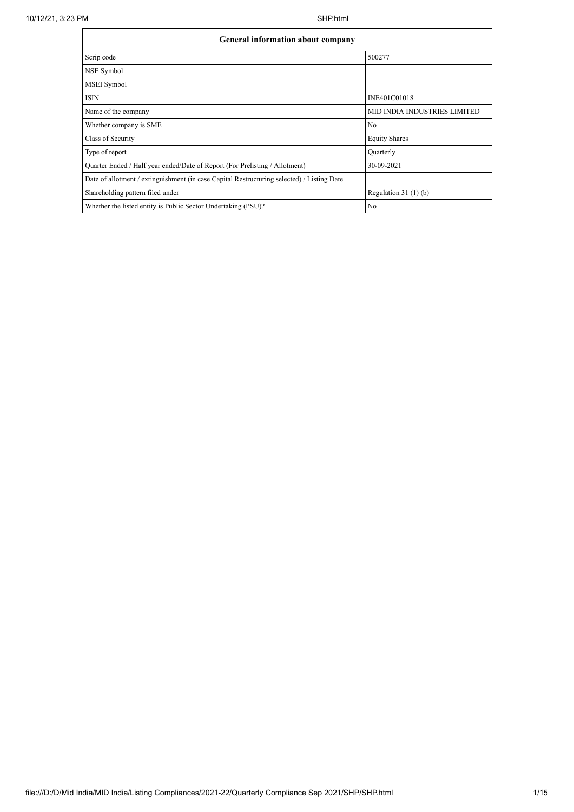| <b>General information about company</b>                                                   |                              |  |  |  |  |  |  |
|--------------------------------------------------------------------------------------------|------------------------------|--|--|--|--|--|--|
| Scrip code                                                                                 | 500277                       |  |  |  |  |  |  |
| NSE Symbol                                                                                 |                              |  |  |  |  |  |  |
| MSEI Symbol                                                                                |                              |  |  |  |  |  |  |
| <b>ISIN</b>                                                                                | INE401C01018                 |  |  |  |  |  |  |
| Name of the company                                                                        | MID INDIA INDUSTRIES LIMITED |  |  |  |  |  |  |
| Whether company is SME                                                                     | N <sub>0</sub>               |  |  |  |  |  |  |
| Class of Security                                                                          | <b>Equity Shares</b>         |  |  |  |  |  |  |
| Type of report                                                                             | Quarterly                    |  |  |  |  |  |  |
| Quarter Ended / Half year ended/Date of Report (For Prelisting / Allotment)                | 30-09-2021                   |  |  |  |  |  |  |
| Date of allotment / extinguishment (in case Capital Restructuring selected) / Listing Date |                              |  |  |  |  |  |  |
| Shareholding pattern filed under                                                           | Regulation $31(1)(b)$        |  |  |  |  |  |  |
| Whether the listed entity is Public Sector Undertaking (PSU)?                              | No                           |  |  |  |  |  |  |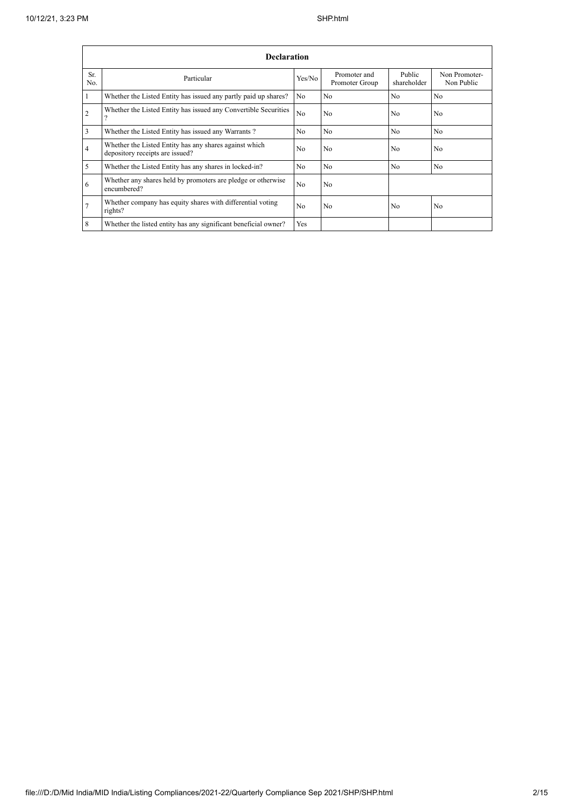|                | <b>Declaration</b>                                                                        |                |                                |                       |                             |  |  |  |  |  |  |
|----------------|-------------------------------------------------------------------------------------------|----------------|--------------------------------|-----------------------|-----------------------------|--|--|--|--|--|--|
| Sr.<br>No.     | Particular                                                                                | Yes/No         | Promoter and<br>Promoter Group | Public<br>shareholder | Non Promoter-<br>Non Public |  |  |  |  |  |  |
|                | Whether the Listed Entity has issued any partly paid up shares?                           | No             | N <sub>0</sub>                 | N <sub>0</sub>        | N <sub>0</sub>              |  |  |  |  |  |  |
| $\overline{2}$ | Whether the Listed Entity has issued any Convertible Securities                           | N <sub>o</sub> | N <sub>o</sub>                 | N <sub>0</sub>        | No                          |  |  |  |  |  |  |
| 3              | Whether the Listed Entity has issued any Warrants?                                        | N <sub>0</sub> | N <sub>0</sub>                 | N <sub>o</sub>        | N <sub>o</sub>              |  |  |  |  |  |  |
| 4              | Whether the Listed Entity has any shares against which<br>depository receipts are issued? | No             | N <sub>0</sub>                 | N <sub>0</sub>        | No                          |  |  |  |  |  |  |
| 5              | Whether the Listed Entity has any shares in locked-in?                                    | N <sub>0</sub> | N <sub>0</sub>                 | N <sub>0</sub>        | N <sub>0</sub>              |  |  |  |  |  |  |
| 6              | Whether any shares held by promoters are pledge or otherwise<br>encumbered?               | N <sub>o</sub> | N <sub>o</sub>                 |                       |                             |  |  |  |  |  |  |
|                | Whether company has equity shares with differential voting<br>rights?                     | N <sub>0</sub> | N <sub>0</sub>                 | N <sub>0</sub>        | N <sub>0</sub>              |  |  |  |  |  |  |
| 8              | Whether the listed entity has any significant beneficial owner?                           | Yes            |                                |                       |                             |  |  |  |  |  |  |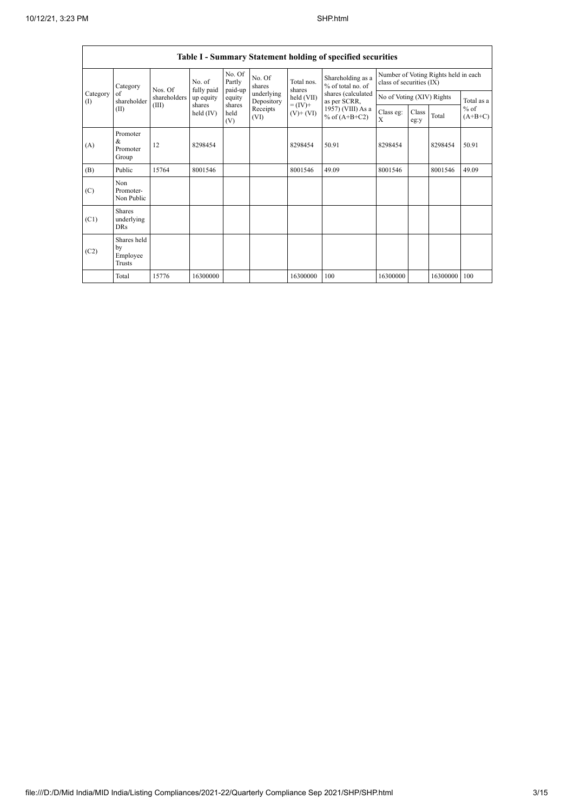|                 | Table I - Summary Statement holding of specified securities |                                  |                                                            |                             |                          |                                                                    |                                        |                                                                  |               |          |                     |
|-----------------|-------------------------------------------------------------|----------------------------------|------------------------------------------------------------|-----------------------------|--------------------------|--------------------------------------------------------------------|----------------------------------------|------------------------------------------------------------------|---------------|----------|---------------------|
| Category<br>(1) | Category<br>of<br>shareholder<br>(II)                       | Nos. Of<br>shareholders<br>(III) | No. of<br>fully paid<br>up equity<br>shares<br>held $(IV)$ | No. Of<br>Partly<br>paid-up | No. Of<br>shares         | Total nos.<br>shares<br>held (VII)<br>$= (IV) +$<br>$(V)$ + $(VI)$ | Shareholding as a<br>% of total no. of | Number of Voting Rights held in each<br>class of securities (IX) |               |          |                     |
|                 |                                                             |                                  |                                                            | equity                      | underlying<br>Depository |                                                                    | shares (calculated<br>as per SCRR,     | No of Voting (XIV) Rights                                        |               |          | Total as a          |
|                 |                                                             |                                  |                                                            | shares<br>held<br>(V)       | Receipts<br>(VI)         |                                                                    | 1957) (VIII) As a<br>% of $(A+B+C2)$   | Class eg:<br>X                                                   | Class<br>eg:y | Total    | $%$ of<br>$(A+B+C)$ |
| (A)             | Promoter<br>&<br>Promoter<br>Group                          | 12                               | 8298454                                                    |                             |                          | 8298454                                                            | 50.91                                  | 8298454                                                          |               | 8298454  | 50.91               |
| (B)             | Public                                                      | 15764                            | 8001546                                                    |                             |                          | 8001546                                                            | 49.09                                  | 8001546                                                          |               | 8001546  | 49.09               |
| (C)             | Non<br>Promoter-<br>Non Public                              |                                  |                                                            |                             |                          |                                                                    |                                        |                                                                  |               |          |                     |
| (C1)            | <b>Shares</b><br>underlying<br><b>DRs</b>                   |                                  |                                                            |                             |                          |                                                                    |                                        |                                                                  |               |          |                     |
| (C2)            | Shares held<br>by<br>Employee<br><b>Trusts</b>              |                                  |                                                            |                             |                          |                                                                    |                                        |                                                                  |               |          |                     |
|                 | Total                                                       | 15776                            | 16300000                                                   |                             |                          | 16300000                                                           | 100                                    | 16300000                                                         |               | 16300000 | 100                 |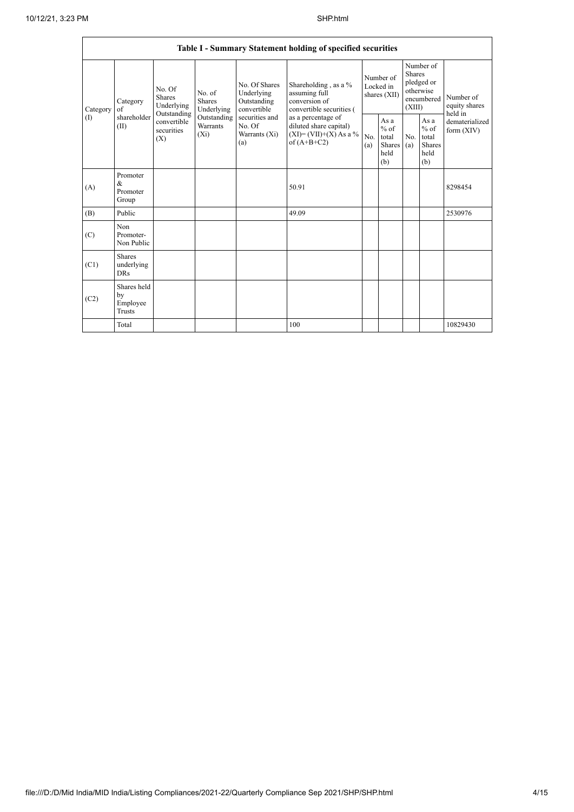|                 | Table I - Summary Statement holding of specified securities |                                                                                                                              |             |                                                                                                               |                                                                                                                                                                                |                                        |                                                  |                                                                               |                                                  |                                       |  |
|-----------------|-------------------------------------------------------------|------------------------------------------------------------------------------------------------------------------------------|-------------|---------------------------------------------------------------------------------------------------------------|--------------------------------------------------------------------------------------------------------------------------------------------------------------------------------|----------------------------------------|--------------------------------------------------|-------------------------------------------------------------------------------|--------------------------------------------------|---------------------------------------|--|
| Category<br>(1) | Category<br>of<br>shareholder<br>(II)                       | No. Of<br>No. of<br>Shares<br>Shares<br>Underlying<br>Outstanding<br>convertible<br>Warrants<br>securities<br>$(X_i)$<br>(X) | Underlying  | No. Of Shares<br>Underlying<br>Outstanding<br>convertible<br>securities and<br>No. Of<br>Warrants (Xi)<br>(a) | Shareholding, as a %<br>assuming full<br>conversion of<br>convertible securities (<br>as a percentage of<br>diluted share capital)<br>$(XI)=(VII)+(X) As a %$<br>of $(A+B+C2)$ | Number of<br>Locked in<br>shares (XII) |                                                  | Number of<br><b>Shares</b><br>pledged or<br>otherwise<br>encumbered<br>(XIII) |                                                  | Number of<br>equity shares<br>held in |  |
|                 |                                                             |                                                                                                                              | Outstanding |                                                                                                               |                                                                                                                                                                                | No.<br>(a)                             | As a<br>$%$ of<br>total<br>Shares<br>held<br>(b) | No.<br>(a)                                                                    | As a<br>$%$ of<br>total<br>Shares<br>held<br>(b) | dematerialized<br>form $(XIV)$        |  |
| (A)             | Promoter<br>$\&$<br>Promoter<br>Group                       |                                                                                                                              |             |                                                                                                               | 50.91                                                                                                                                                                          |                                        |                                                  |                                                                               |                                                  | 8298454                               |  |
| (B)             | Public                                                      |                                                                                                                              |             |                                                                                                               | 49.09                                                                                                                                                                          |                                        |                                                  |                                                                               |                                                  | 2530976                               |  |
| (C)             | Non<br>Promoter-<br>Non Public                              |                                                                                                                              |             |                                                                                                               |                                                                                                                                                                                |                                        |                                                  |                                                                               |                                                  |                                       |  |
| (C1)            | Shares<br>underlying<br><b>DRs</b>                          |                                                                                                                              |             |                                                                                                               |                                                                                                                                                                                |                                        |                                                  |                                                                               |                                                  |                                       |  |
| (C2)            | Shares held<br>by<br>Employee<br><b>Trusts</b>              |                                                                                                                              |             |                                                                                                               |                                                                                                                                                                                |                                        |                                                  |                                                                               |                                                  |                                       |  |
|                 | Total                                                       |                                                                                                                              |             |                                                                                                               | 100                                                                                                                                                                            |                                        |                                                  |                                                                               |                                                  | 10829430                              |  |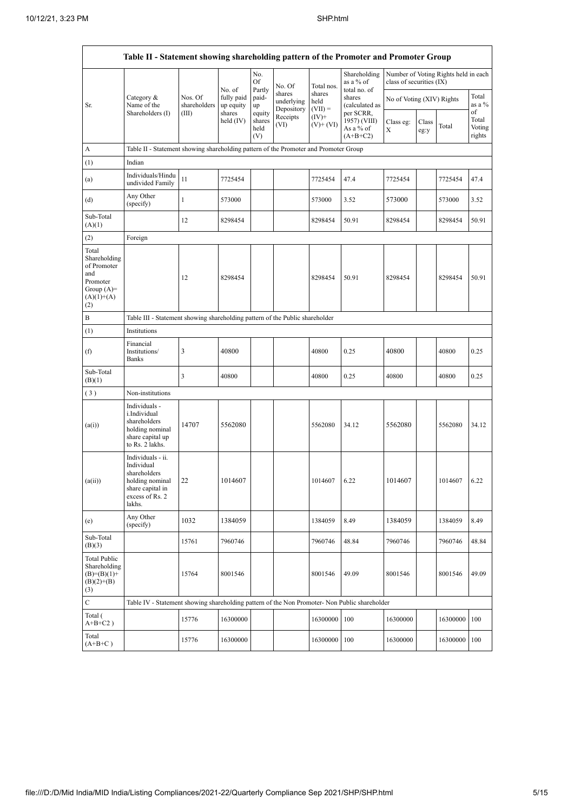|                                                                                                | Table II - Statement showing shareholding pattern of the Promoter and Promoter Group                                   |                         |                                   |                                 |                                    |                             |                                                       |                           |               |                                      |                           |  |
|------------------------------------------------------------------------------------------------|------------------------------------------------------------------------------------------------------------------------|-------------------------|-----------------------------------|---------------------------------|------------------------------------|-----------------------------|-------------------------------------------------------|---------------------------|---------------|--------------------------------------|---------------------------|--|
|                                                                                                |                                                                                                                        |                         |                                   | No.<br>Of                       | No. Of                             | Total nos.                  | Shareholding<br>as a % of                             | class of securities (IX)  |               | Number of Voting Rights held in each |                           |  |
| Sr.                                                                                            | Category &<br>Name of the                                                                                              | Nos. Of<br>shareholders | No. of<br>fully paid<br>up equity | Partly<br>paid-<br>up<br>equity | shares<br>underlying<br>Depository | shares<br>held<br>$(VII) =$ | total no. of<br>shares<br>(calculated as<br>per SCRR, | No of Voting (XIV) Rights |               |                                      | Total<br>as a %<br>of     |  |
|                                                                                                | Shareholders (I)                                                                                                       | (III)                   | shares<br>held $(IV)$             | shares<br>held<br>(V)           | Receipts<br>(VI)                   | $(IV)+$<br>$(V)$ + $(VI)$   | 1957) (VIII)<br>As a % of<br>$(A+B+C2)$               | Class eg:<br>X            | Class<br>eg:y | Total                                | Total<br>Voting<br>rights |  |
| A                                                                                              | Table II - Statement showing shareholding pattern of the Promoter and Promoter Group                                   |                         |                                   |                                 |                                    |                             |                                                       |                           |               |                                      |                           |  |
| (1)                                                                                            | Indian                                                                                                                 |                         |                                   |                                 |                                    |                             |                                                       |                           |               |                                      |                           |  |
| (a)                                                                                            | Individuals/Hindu<br>undivided Family                                                                                  | 11                      | 7725454                           |                                 |                                    | 7725454                     | 47.4                                                  | 7725454                   |               | 7725454                              | 47.4                      |  |
| (d)                                                                                            | Any Other<br>(specify)                                                                                                 | $\mathbf{1}$            | 573000                            |                                 |                                    | 573000                      | 3.52                                                  | 573000                    |               | 573000                               | 3.52                      |  |
| Sub-Total<br>(A)(1)                                                                            |                                                                                                                        | 12                      | 8298454                           |                                 |                                    | 8298454                     | 50.91                                                 | 8298454                   |               | 8298454                              | 50.91                     |  |
| (2)                                                                                            | Foreign                                                                                                                |                         |                                   |                                 |                                    |                             |                                                       |                           |               |                                      |                           |  |
| Total<br>Shareholding<br>of Promoter<br>and<br>Promoter<br>Group $(A)=$<br>$(A)(1)+(A)$<br>(2) |                                                                                                                        | 12                      | 8298454                           |                                 |                                    | 8298454                     | 50.91                                                 | 8298454                   |               | 8298454                              | 50.91                     |  |
| B                                                                                              | Table III - Statement showing shareholding pattern of the Public shareholder                                           |                         |                                   |                                 |                                    |                             |                                                       |                           |               |                                      |                           |  |
| (1)                                                                                            | Institutions                                                                                                           |                         |                                   |                                 |                                    |                             |                                                       |                           |               |                                      |                           |  |
| (f)                                                                                            | Financial<br>Institutions/<br>Banks                                                                                    | 3                       | 40800                             |                                 |                                    | 40800                       | 0.25                                                  | 40800                     |               | 40800                                | 0.25                      |  |
| Sub-Total<br>(B)(1)                                                                            |                                                                                                                        | 3                       | 40800                             |                                 |                                    | 40800                       | 0.25                                                  | 40800                     |               | 40800                                | 0.25                      |  |
| (3)                                                                                            | Non-institutions                                                                                                       |                         |                                   |                                 |                                    |                             |                                                       |                           |               |                                      |                           |  |
| (a(i))                                                                                         | Individuals -<br>i.Individual<br>shareholders<br>holding nominal<br>share capital up<br>to Rs. 2 lakhs.                | 14707                   | 5562080                           |                                 |                                    | 5562080                     | 34.12                                                 | 5562080                   |               | 5562080                              | 34.12                     |  |
| (a(ii))                                                                                        | Individuals - ii.<br>Individual<br>shareholders<br>holding nominal 22<br>share capital in<br>excess of Rs. 2<br>lakhs. |                         | 1014607                           |                                 |                                    | 1014607                     | 6.22                                                  | 1014607                   |               | 1014607                              | 6.22                      |  |
| (e)                                                                                            | Any Other<br>(specify)                                                                                                 | 1032                    | 1384059                           |                                 |                                    | 1384059                     | 8.49                                                  | 1384059                   |               | 1384059                              | 8.49                      |  |
| Sub-Total<br>(B)(3)                                                                            |                                                                                                                        | 15761                   | 7960746                           |                                 |                                    | 7960746                     | 48.84                                                 | 7960746                   |               | 7960746                              | 48.84                     |  |
| <b>Total Public</b><br>Shareholding<br>$(B)=(B)(1)+$<br>$(B)(2)+(B)$<br>(3)                    |                                                                                                                        | 15764                   | 8001546                           |                                 |                                    | 8001546                     | 49.09                                                 | 8001546                   |               | 8001546                              | 49.09                     |  |
| $\mathbf C$                                                                                    | Table IV - Statement showing shareholding pattern of the Non Promoter- Non Public shareholder                          |                         |                                   |                                 |                                    |                             |                                                       |                           |               |                                      |                           |  |
| Total (<br>$A+B+C2$ )                                                                          |                                                                                                                        | 15776                   | 16300000                          |                                 |                                    | 16300000                    | 100                                                   | 16300000                  |               | 16300000                             | 100                       |  |
| Total<br>$(A+B+C)$                                                                             |                                                                                                                        | 15776                   | 16300000                          |                                 |                                    | 16300000                    | 100                                                   | 16300000                  |               | 16300000                             | 100                       |  |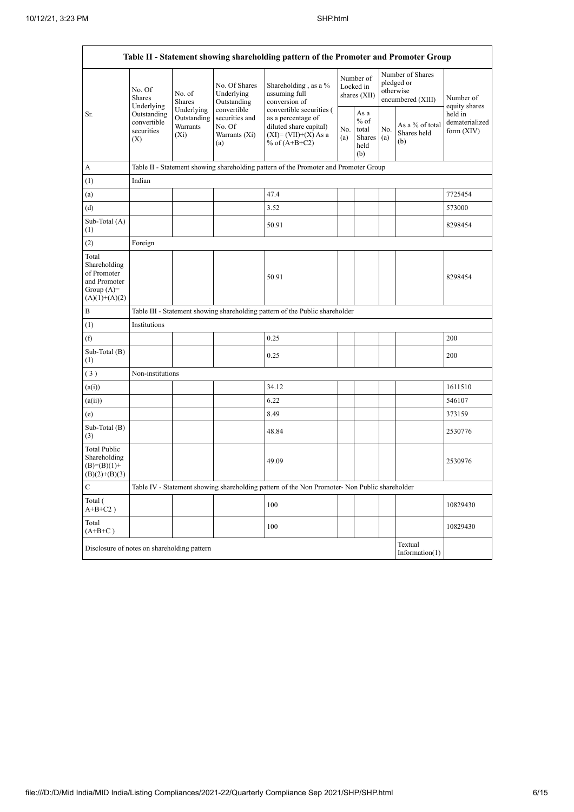$\overline{\phantom{0}}$ 

| Table II - Statement showing shareholding pattern of the Promoter and Promoter Group    |                                                                                          |                                                  |                                                                 |                                                                                                                        |            |                                                  |            |                                                                  |                                           |  |
|-----------------------------------------------------------------------------------------|------------------------------------------------------------------------------------------|--------------------------------------------------|-----------------------------------------------------------------|------------------------------------------------------------------------------------------------------------------------|------------|--------------------------------------------------|------------|------------------------------------------------------------------|-------------------------------------------|--|
|                                                                                         | No. Of<br><b>Shares</b><br>Underlying<br>Outstanding<br>convertible<br>securities<br>(X) | No. of<br>Shares                                 | No. Of Shares<br>Underlying<br>Outstanding                      | Shareholding, as a %<br>assuming full<br>conversion of                                                                 |            | Number of<br>Locked in<br>shares (XII)           |            | Number of Shares<br>pledged or<br>otherwise<br>encumbered (XIII) | Number of<br>equity shares                |  |
| Sr.                                                                                     |                                                                                          | Underlying<br>Outstanding<br>Warrants<br>$(X_i)$ | convertible<br>securities and<br>No. Of<br>Warrants (Xi)<br>(a) | convertible securities (<br>as a percentage of<br>diluted share capital)<br>$(XI) = (VII)+(X) As a$<br>% of $(A+B+C2)$ | No.<br>(a) | As a<br>$%$ of<br>total<br>Shares<br>held<br>(b) | No.<br>(a) | As a % of total<br>Shares held<br>(b)                            | held in<br>dematerialized<br>form $(XIV)$ |  |
| A                                                                                       |                                                                                          |                                                  |                                                                 | Table II - Statement showing shareholding pattern of the Promoter and Promoter Group                                   |            |                                                  |            |                                                                  |                                           |  |
| (1)                                                                                     | Indian                                                                                   |                                                  |                                                                 |                                                                                                                        |            |                                                  |            |                                                                  |                                           |  |
| (a)                                                                                     |                                                                                          |                                                  |                                                                 | 47.4                                                                                                                   |            |                                                  |            |                                                                  | 7725454                                   |  |
| (d)                                                                                     |                                                                                          |                                                  |                                                                 | 3.52                                                                                                                   |            |                                                  |            |                                                                  | 573000                                    |  |
| Sub-Total (A)<br>(1)                                                                    |                                                                                          |                                                  |                                                                 | 50.91                                                                                                                  |            |                                                  |            |                                                                  | 8298454                                   |  |
| (2)                                                                                     | Foreign                                                                                  |                                                  |                                                                 |                                                                                                                        |            |                                                  |            |                                                                  |                                           |  |
| Total<br>Shareholding<br>of Promoter<br>and Promoter<br>Group $(A)=$<br>$(A)(1)+(A)(2)$ |                                                                                          |                                                  |                                                                 | 50.91                                                                                                                  |            |                                                  |            |                                                                  | 8298454                                   |  |
| B                                                                                       |                                                                                          |                                                  |                                                                 | Table III - Statement showing shareholding pattern of the Public shareholder                                           |            |                                                  |            |                                                                  |                                           |  |
| (1)                                                                                     | Institutions                                                                             |                                                  |                                                                 |                                                                                                                        |            |                                                  |            |                                                                  |                                           |  |
| (f)                                                                                     |                                                                                          |                                                  |                                                                 | 0.25                                                                                                                   |            |                                                  |            |                                                                  | 200                                       |  |
| Sub-Total (B)<br>(1)                                                                    |                                                                                          |                                                  |                                                                 | 0.25                                                                                                                   |            |                                                  |            |                                                                  | 200                                       |  |
| (3)                                                                                     | Non-institutions                                                                         |                                                  |                                                                 |                                                                                                                        |            |                                                  |            |                                                                  |                                           |  |
| (a(i))                                                                                  |                                                                                          |                                                  |                                                                 | 34.12                                                                                                                  |            |                                                  |            |                                                                  | 1611510                                   |  |
| (a(ii))                                                                                 |                                                                                          |                                                  |                                                                 | 6.22                                                                                                                   |            |                                                  |            |                                                                  | 546107                                    |  |
| (e)                                                                                     |                                                                                          |                                                  |                                                                 | 8.49                                                                                                                   |            |                                                  |            |                                                                  | 373159                                    |  |
| Sub-Total (B)<br>(3)                                                                    |                                                                                          |                                                  |                                                                 | 48.84                                                                                                                  |            |                                                  |            |                                                                  | 2530776                                   |  |
| <b>Total Public</b><br>Shareholding<br>$(B)=(B)(1)+$<br>$(B)(2)+(B)(3)$                 |                                                                                          |                                                  |                                                                 | 49.09                                                                                                                  |            |                                                  |            |                                                                  | 2530976                                   |  |
| C                                                                                       |                                                                                          |                                                  |                                                                 | Table IV - Statement showing shareholding pattern of the Non Promoter- Non Public shareholder                          |            |                                                  |            |                                                                  |                                           |  |
| Total (<br>$A+B+C2$ )                                                                   |                                                                                          |                                                  |                                                                 | 100                                                                                                                    |            |                                                  |            |                                                                  | 10829430                                  |  |
| Total<br>$(A+B+C)$                                                                      |                                                                                          |                                                  |                                                                 | 100                                                                                                                    |            |                                                  |            |                                                                  | 10829430                                  |  |
|                                                                                         | Textual<br>Disclosure of notes on shareholding pattern<br>Information(1)                 |                                                  |                                                                 |                                                                                                                        |            |                                                  |            |                                                                  |                                           |  |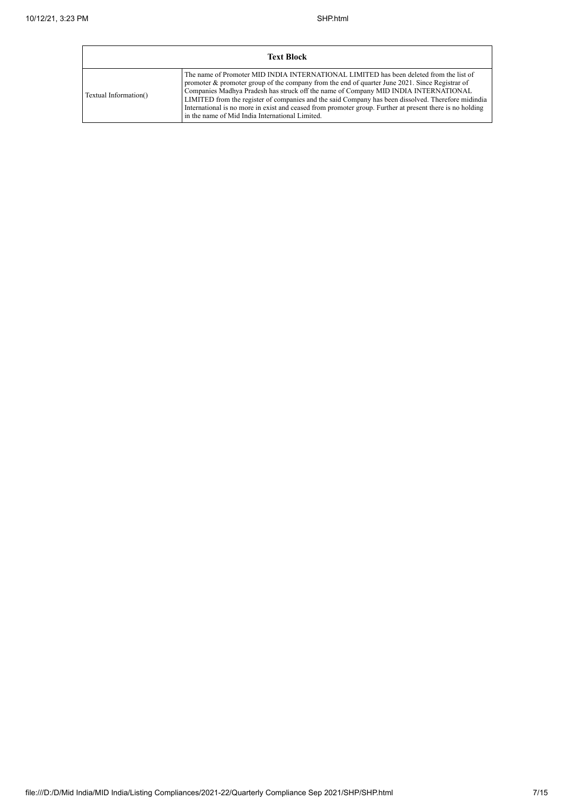| <b>Text Block</b>     |                                                                                                                                                                                                                                                                                                                                                                                                                                                                                                                                                      |  |  |  |  |  |  |
|-----------------------|------------------------------------------------------------------------------------------------------------------------------------------------------------------------------------------------------------------------------------------------------------------------------------------------------------------------------------------------------------------------------------------------------------------------------------------------------------------------------------------------------------------------------------------------------|--|--|--|--|--|--|
| Textual Information() | The name of Promoter MID INDIA INTERNATIONAL LIMITED has been deleted from the list of<br>promoter & promoter group of the company from the end of quarter June 2021. Since Registrar of<br>Companies Madhya Pradesh has struck off the name of Company MID INDIA INTERNATIONAL<br>LIMITED from the register of companies and the said Company has been dissolved. Therefore midindia<br>International is no more in exist and ceased from promoter group. Further at present there is no holding<br>in the name of Mid India International Limited. |  |  |  |  |  |  |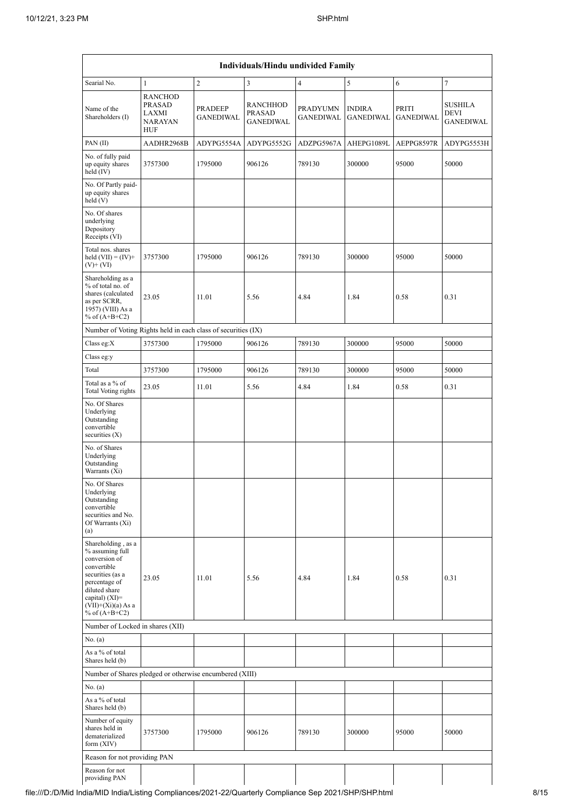| Individuals/Hindu undivided Family                                                                                                                                                         |                                                                   |                                    |                                                      |                                     |                                   |                           |                                            |  |  |  |
|--------------------------------------------------------------------------------------------------------------------------------------------------------------------------------------------|-------------------------------------------------------------------|------------------------------------|------------------------------------------------------|-------------------------------------|-----------------------------------|---------------------------|--------------------------------------------|--|--|--|
| Searial No.                                                                                                                                                                                | 1                                                                 | $\overline{c}$                     | 3                                                    | $\overline{4}$                      | 5                                 | 6                         | $\tau$                                     |  |  |  |
| Name of the<br>Shareholders (I)                                                                                                                                                            | <b>RANCHOD</b><br><b>PRASAD</b><br>LAXMI<br><b>NARAYAN</b><br>HUF | <b>PRADEEP</b><br><b>GANEDIWAL</b> | <b>RANCHHOD</b><br><b>PRASAD</b><br><b>GANEDIWAL</b> | <b>PRADYUMN</b><br><b>GANEDIWAL</b> | <b>INDIRA</b><br><b>GANEDIWAL</b> | PRITI<br><b>GANEDIWAL</b> | <b>SUSHILA</b><br>DEVI<br><b>GANEDIWAL</b> |  |  |  |
| PAN(II)                                                                                                                                                                                    | AADHR2968B                                                        | ADYPG5554A                         | ADYPG5552G                                           | ADZPG5967A                          | AHEPG1089L                        | AEPPG8597R                | ADYPG5553H                                 |  |  |  |
| No. of fully paid<br>up equity shares<br>held $(IV)$                                                                                                                                       | 3757300                                                           | 1795000                            | 906126                                               | 789130                              | 300000                            | 95000                     | 50000                                      |  |  |  |
| No. Of Partly paid-<br>up equity shares<br>held (V)                                                                                                                                        |                                                                   |                                    |                                                      |                                     |                                   |                           |                                            |  |  |  |
| No. Of shares<br>underlying<br>Depository<br>Receipts (VI)                                                                                                                                 |                                                                   |                                    |                                                      |                                     |                                   |                           |                                            |  |  |  |
| Total nos. shares<br>held $(VII) = (IV) +$<br>$(V)$ + $(VI)$                                                                                                                               | 3757300                                                           | 1795000                            | 906126                                               | 789130                              | 300000                            | 95000                     | 50000                                      |  |  |  |
| Shareholding as a<br>% of total no. of<br>shares (calculated<br>as per SCRR,<br>1957) (VIII) As a<br>% of $(A+B+C2)$                                                                       | 23.05                                                             | 11.01                              | 5.56                                                 | 4.84                                | 1.84                              | 0.58                      | 0.31                                       |  |  |  |
| Number of Voting Rights held in each class of securities (IX)                                                                                                                              |                                                                   |                                    |                                                      |                                     |                                   |                           |                                            |  |  |  |
| Class eg: $X$                                                                                                                                                                              | 3757300                                                           | 1795000                            | 906126                                               | 789130                              | 300000                            | 95000                     | 50000                                      |  |  |  |
| Class eg:y                                                                                                                                                                                 |                                                                   |                                    |                                                      |                                     |                                   |                           |                                            |  |  |  |
| Total                                                                                                                                                                                      | 3757300                                                           | 1795000                            | 906126                                               | 789130                              | 300000                            | 95000                     | 50000                                      |  |  |  |
| Total as a % of<br>Total Voting rights                                                                                                                                                     | 23.05                                                             | 11.01                              | 5.56                                                 | 4.84                                | 1.84                              | 0.58                      | 0.31                                       |  |  |  |
| No. Of Shares<br>Underlying<br>Outstanding<br>convertible<br>securities $(X)$                                                                                                              |                                                                   |                                    |                                                      |                                     |                                   |                           |                                            |  |  |  |
| No. of Shares<br>Underlying<br>Outstanding<br>Warrants (Xi)                                                                                                                                |                                                                   |                                    |                                                      |                                     |                                   |                           |                                            |  |  |  |
| No. Of Shares<br>Underlying<br>Outstanding<br>convertible<br>securities and No.<br>Of Warrants (Xi)<br>(a)                                                                                 |                                                                   |                                    |                                                      |                                     |                                   |                           |                                            |  |  |  |
| Shareholding, as a<br>% assuming full<br>conversion of<br>convertible<br>securities (as a<br>percentage of<br>diluted share<br>capital) $(XI)=$<br>$(VII)+(Xi)(a) As a$<br>% of $(A+B+C2)$ | 23.05                                                             | 11.01                              | 5.56                                                 | 4.84                                | 1.84                              | 0.58                      | 0.31                                       |  |  |  |
| Number of Locked in shares (XII)                                                                                                                                                           |                                                                   |                                    |                                                      |                                     |                                   |                           |                                            |  |  |  |
| No. (a)                                                                                                                                                                                    |                                                                   |                                    |                                                      |                                     |                                   |                           |                                            |  |  |  |
| As a % of total<br>Shares held (b)                                                                                                                                                         |                                                                   |                                    |                                                      |                                     |                                   |                           |                                            |  |  |  |
| Number of Shares pledged or otherwise encumbered (XIII)                                                                                                                                    |                                                                   |                                    |                                                      |                                     |                                   |                           |                                            |  |  |  |
| No. (a)                                                                                                                                                                                    |                                                                   |                                    |                                                      |                                     |                                   |                           |                                            |  |  |  |
| As a % of total<br>Shares held (b)                                                                                                                                                         |                                                                   |                                    |                                                      |                                     |                                   |                           |                                            |  |  |  |
| Number of equity<br>shares held in<br>dematerialized<br>form $(XIV)$                                                                                                                       | 3757300                                                           | 1795000                            | 906126                                               | 789130                              | 300000                            | 95000                     | 50000                                      |  |  |  |
| Reason for not providing PAN                                                                                                                                                               |                                                                   |                                    |                                                      |                                     |                                   |                           |                                            |  |  |  |
| Reason for not<br>providing PAN                                                                                                                                                            |                                                                   |                                    |                                                      |                                     |                                   |                           |                                            |  |  |  |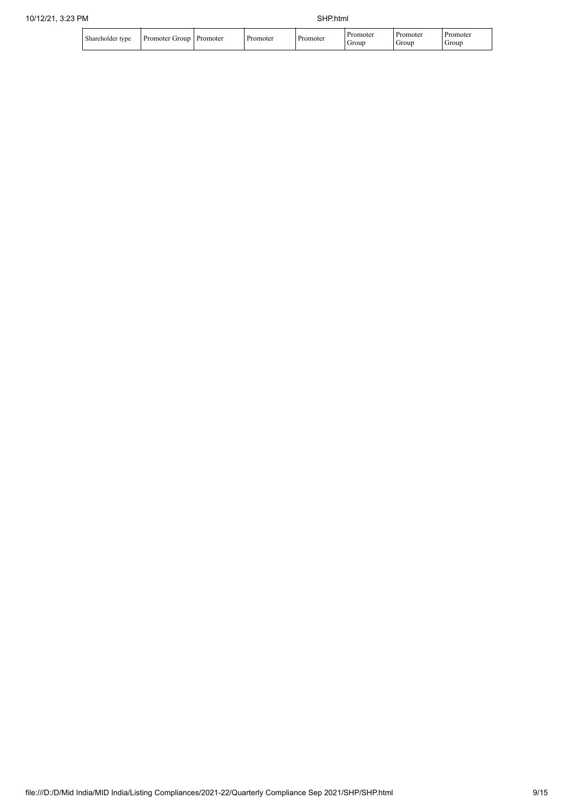| Shareholder tvpe | Promoter (<br>oroup | Promoter | omoter | Promoter | romoter<br>Grour | omoter<br>Group | <b>Promoter</b><br>Group |
|------------------|---------------------|----------|--------|----------|------------------|-----------------|--------------------------|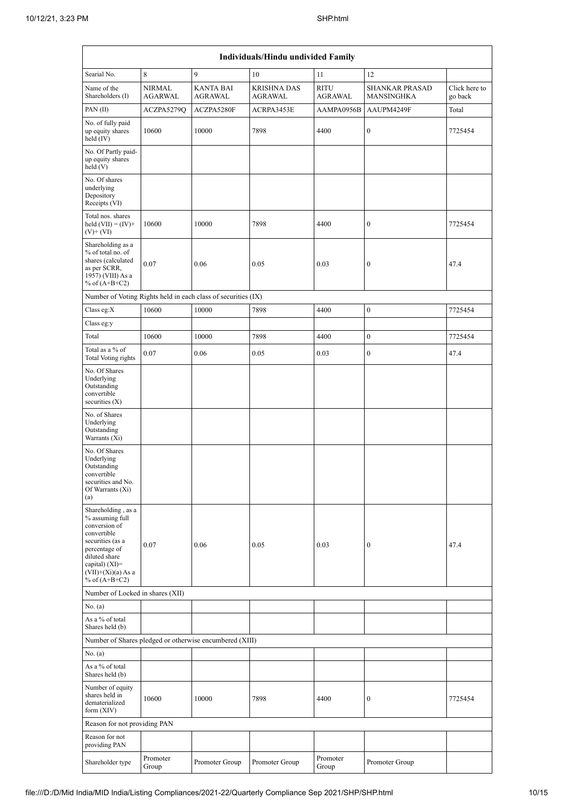| Individuals/Hindu undivided Family                                                                                                                                                         |                          |                                                               |                                      |                        |                                     |                          |  |  |  |  |  |
|--------------------------------------------------------------------------------------------------------------------------------------------------------------------------------------------|--------------------------|---------------------------------------------------------------|--------------------------------------|------------------------|-------------------------------------|--------------------------|--|--|--|--|--|
| Searial No.                                                                                                                                                                                | 8                        | 9                                                             | 10                                   | 11                     | 12                                  |                          |  |  |  |  |  |
| Name of the<br>Shareholders (I)                                                                                                                                                            | <b>NIRMAL</b><br>AGARWAL | <b>KANTA BAI</b><br>AGRAWAL                                   | <b>KRISHNA DAS</b><br><b>AGRAWAL</b> | <b>RITU</b><br>AGRAWAL | <b>SHANKAR PRASAD</b><br>MANSINGHKA | Click here to<br>go back |  |  |  |  |  |
| PAN $(II)$                                                                                                                                                                                 | ACZPA5279Q               | ACZPA5280F                                                    | ACRPA3453E                           | AAMPA0956B             | AAUPM4249F                          | Total                    |  |  |  |  |  |
| No. of fully paid<br>up equity shares<br>held $(IV)$                                                                                                                                       | 10600                    | 10000                                                         | 7898                                 | 4400                   | $\boldsymbol{0}$                    | 7725454                  |  |  |  |  |  |
| No. Of Partly paid-<br>up equity shares<br>held(V)                                                                                                                                         |                          |                                                               |                                      |                        |                                     |                          |  |  |  |  |  |
| No. Of shares<br>underlying<br>Depository<br>Receipts (VI)                                                                                                                                 |                          |                                                               |                                      |                        |                                     |                          |  |  |  |  |  |
| Total nos. shares<br>held $(VII) = (IV) +$<br>$(V)$ + $(VI)$                                                                                                                               | 10600                    | 10000                                                         | 7898                                 | 4400                   | $\boldsymbol{0}$                    | 7725454                  |  |  |  |  |  |
| Shareholding as a<br>% of total no. of<br>shares (calculated<br>as per SCRR,<br>1957) (VIII) As a<br>% of $(A+B+C2)$                                                                       | 0.07                     | 0.06                                                          | 0.05                                 | 0.03                   | $\boldsymbol{0}$                    | 47.4                     |  |  |  |  |  |
|                                                                                                                                                                                            |                          | Number of Voting Rights held in each class of securities (IX) |                                      |                        |                                     |                          |  |  |  |  |  |
| Class eg:X                                                                                                                                                                                 | 10600                    | 10000                                                         | 7898                                 | 4400                   | $\boldsymbol{0}$                    | 7725454                  |  |  |  |  |  |
| Class eg:y                                                                                                                                                                                 |                          |                                                               |                                      |                        |                                     |                          |  |  |  |  |  |
| Total                                                                                                                                                                                      | 10600                    | 10000                                                         | 7898                                 | 4400                   | $\boldsymbol{0}$                    | 7725454                  |  |  |  |  |  |
| Total as a % of<br>Total Voting rights                                                                                                                                                     | 0.07                     | 0.06                                                          | 0.05                                 | 0.03                   | $\boldsymbol{0}$                    | 47.4                     |  |  |  |  |  |
| No. Of Shares<br>Underlying<br>Outstanding<br>convertible<br>securities $(X)$                                                                                                              |                          |                                                               |                                      |                        |                                     |                          |  |  |  |  |  |
| No. of Shares<br>Underlying<br>Outstanding<br>Warrants (Xi)                                                                                                                                |                          |                                                               |                                      |                        |                                     |                          |  |  |  |  |  |
| No. Of Shares<br>Underlying<br>Outstanding<br>convertible<br>securities and No.<br>Of Warrants (Xi)<br>(a)                                                                                 |                          |                                                               |                                      |                        |                                     |                          |  |  |  |  |  |
| Shareholding, as a<br>% assuming full<br>conversion of<br>convertible<br>securities (as a<br>percentage of<br>diluted share<br>capital) $(XI)=$<br>$(VII)+(Xi)(a)$ As a<br>% of $(A+B+C2)$ | 0.07                     | 0.06                                                          | 0.05                                 | 0.03                   | $\boldsymbol{0}$                    | 47.4                     |  |  |  |  |  |
| Number of Locked in shares (XII)                                                                                                                                                           |                          |                                                               |                                      |                        |                                     |                          |  |  |  |  |  |
| No. (a)                                                                                                                                                                                    |                          |                                                               |                                      |                        |                                     |                          |  |  |  |  |  |
| As a % of total<br>Shares held (b)                                                                                                                                                         |                          |                                                               |                                      |                        |                                     |                          |  |  |  |  |  |
|                                                                                                                                                                                            |                          | Number of Shares pledged or otherwise encumbered (XIII)       |                                      |                        |                                     |                          |  |  |  |  |  |
| No. (a)                                                                                                                                                                                    |                          |                                                               |                                      |                        |                                     |                          |  |  |  |  |  |
| As a % of total<br>Shares held (b)                                                                                                                                                         |                          |                                                               |                                      |                        |                                     |                          |  |  |  |  |  |
| Number of equity<br>shares held in<br>dematerialized<br>form $(XIV)$                                                                                                                       | 10600                    | 10000                                                         | 7898                                 | 4400                   | 0                                   | 7725454                  |  |  |  |  |  |
| Reason for not providing PAN                                                                                                                                                               |                          |                                                               |                                      |                        |                                     |                          |  |  |  |  |  |
| Reason for not<br>providing PAN                                                                                                                                                            |                          |                                                               |                                      |                        |                                     |                          |  |  |  |  |  |
| Shareholder type                                                                                                                                                                           | Promoter<br>Group        | Promoter Group                                                | Promoter Group                       | Promoter<br>Group      | Promoter Group                      |                          |  |  |  |  |  |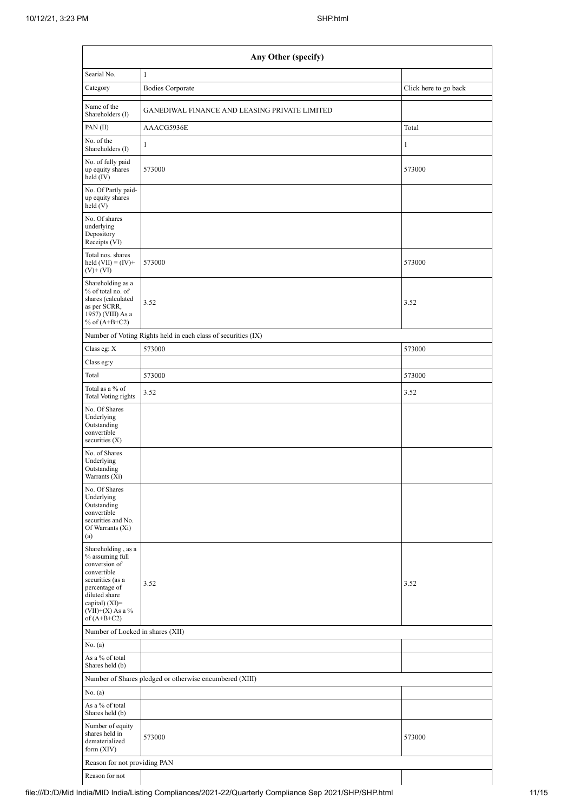| Any Other (specify)                                                                                                                                                                    |                                                               |                       |  |  |  |  |  |  |  |
|----------------------------------------------------------------------------------------------------------------------------------------------------------------------------------------|---------------------------------------------------------------|-----------------------|--|--|--|--|--|--|--|
| Searial No.                                                                                                                                                                            | $\mathbf{1}$                                                  |                       |  |  |  |  |  |  |  |
| Category                                                                                                                                                                               | <b>Bodies Corporate</b>                                       | Click here to go back |  |  |  |  |  |  |  |
| Name of the<br>Shareholders (I)                                                                                                                                                        | GANEDIWAL FINANCE AND LEASING PRIVATE LIMITED                 |                       |  |  |  |  |  |  |  |
| PAN $(II)$                                                                                                                                                                             | AAACG5936E                                                    | Total                 |  |  |  |  |  |  |  |
| No. of the<br>Shareholders (I)                                                                                                                                                         | $\mathbf{1}$                                                  | $\mathbf{1}$          |  |  |  |  |  |  |  |
| No. of fully paid<br>up equity shares<br>held (IV)                                                                                                                                     | 573000                                                        | 573000                |  |  |  |  |  |  |  |
| No. Of Partly paid-<br>up equity shares<br>held(V)                                                                                                                                     |                                                               |                       |  |  |  |  |  |  |  |
| No. Of shares<br>underlying<br>Depository<br>Receipts (VI)                                                                                                                             |                                                               |                       |  |  |  |  |  |  |  |
| Total nos. shares<br>held $(VII) = (IV) +$<br>$(V)$ + $(VI)$                                                                                                                           | 573000                                                        | 573000                |  |  |  |  |  |  |  |
| Shareholding as a<br>% of total no. of<br>shares (calculated<br>as per SCRR,<br>1957) (VIII) As a<br>% of $(A+B+C2)$                                                                   | 3.52                                                          | 3.52                  |  |  |  |  |  |  |  |
|                                                                                                                                                                                        | Number of Voting Rights held in each class of securities (IX) |                       |  |  |  |  |  |  |  |
| Class eg: X                                                                                                                                                                            | 573000                                                        | 573000                |  |  |  |  |  |  |  |
| Class eg:y                                                                                                                                                                             |                                                               |                       |  |  |  |  |  |  |  |
| Total                                                                                                                                                                                  | 573000                                                        | 573000                |  |  |  |  |  |  |  |
| Total as a % of<br>Total Voting rights                                                                                                                                                 | 3.52                                                          | 3.52                  |  |  |  |  |  |  |  |
| No. Of Shares<br>Underlying<br>Outstanding<br>convertible<br>securities (X)                                                                                                            |                                                               |                       |  |  |  |  |  |  |  |
| No. of Shares<br>Underlying<br>Outstanding<br>Warrants (Xi)                                                                                                                            |                                                               |                       |  |  |  |  |  |  |  |
| No. Of Shares<br>Underlying<br>Outstanding<br>convertible<br>securities and No.<br>Of Warrants (Xi)<br>(a)                                                                             |                                                               |                       |  |  |  |  |  |  |  |
| Shareholding, as a<br>% assuming full<br>conversion of<br>convertible<br>securities (as a<br>percentage of<br>diluted share<br>capital) $(XI)=$<br>$(VII)+(X)$ As a %<br>of $(A+B+C2)$ | 3.52                                                          | 3.52                  |  |  |  |  |  |  |  |
| Number of Locked in shares (XII)                                                                                                                                                       |                                                               |                       |  |  |  |  |  |  |  |
| No. (a)                                                                                                                                                                                |                                                               |                       |  |  |  |  |  |  |  |
| As a % of total<br>Shares held (b)                                                                                                                                                     |                                                               |                       |  |  |  |  |  |  |  |
|                                                                                                                                                                                        | Number of Shares pledged or otherwise encumbered (XIII)       |                       |  |  |  |  |  |  |  |
| No. (a)                                                                                                                                                                                |                                                               |                       |  |  |  |  |  |  |  |
| As a % of total<br>Shares held (b)                                                                                                                                                     |                                                               |                       |  |  |  |  |  |  |  |
| Number of equity<br>shares held in<br>dematerialized<br>form (XIV)                                                                                                                     | 573000                                                        | 573000                |  |  |  |  |  |  |  |
| Reason for not providing PAN                                                                                                                                                           |                                                               |                       |  |  |  |  |  |  |  |
| Reason for not                                                                                                                                                                         |                                                               |                       |  |  |  |  |  |  |  |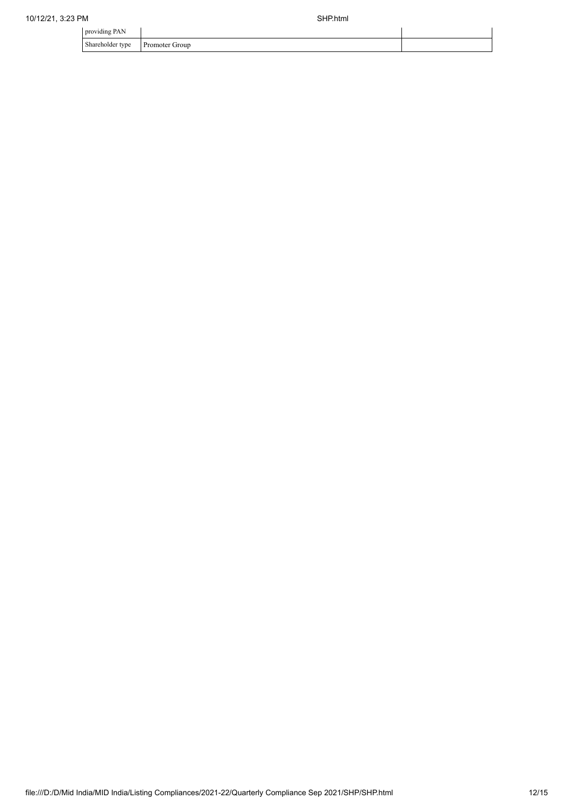| providing PAN    |                |  |
|------------------|----------------|--|
| Shareholder type | Promoter Group |  |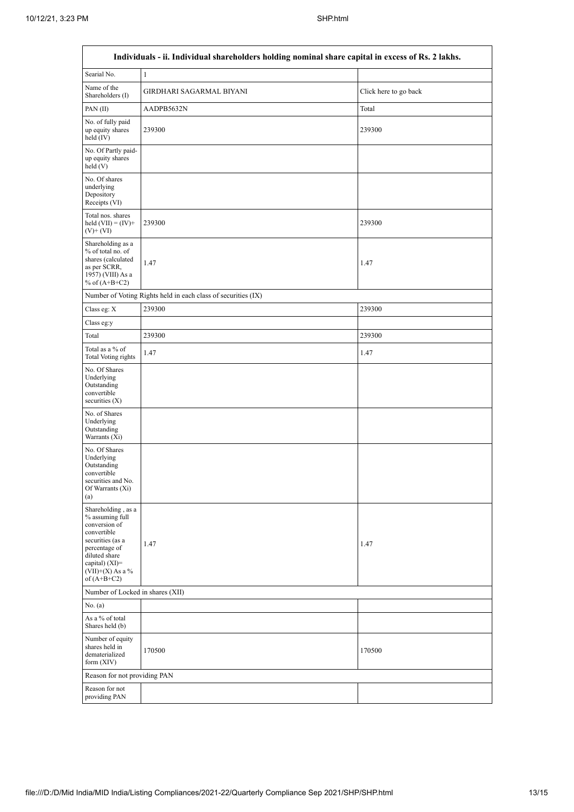| Individuals - ii. Individual shareholders holding nominal share capital in excess of Rs. 2 lakhs.                                                                                       |                                                   |        |  |  |  |  |  |  |  |  |
|-----------------------------------------------------------------------------------------------------------------------------------------------------------------------------------------|---------------------------------------------------|--------|--|--|--|--|--|--|--|--|
| Searial No.                                                                                                                                                                             | $\mathbf{1}$                                      |        |  |  |  |  |  |  |  |  |
| Name of the<br>Shareholders (I)                                                                                                                                                         | GIRDHARI SAGARMAL BIYANI<br>Click here to go back |        |  |  |  |  |  |  |  |  |
| PAN(II)                                                                                                                                                                                 | AADPB5632N                                        | Total  |  |  |  |  |  |  |  |  |
| No. of fully paid<br>up equity shares<br>held $(IV)$                                                                                                                                    | 239300                                            | 239300 |  |  |  |  |  |  |  |  |
| No. Of Partly paid-<br>up equity shares<br>held(V)                                                                                                                                      |                                                   |        |  |  |  |  |  |  |  |  |
| No. Of shares<br>underlying<br>Depository<br>Receipts (VI)                                                                                                                              |                                                   |        |  |  |  |  |  |  |  |  |
| Total nos. shares<br>held $(VII) = (IV) +$<br>$(V)$ + $(VI)$                                                                                                                            | 239300                                            | 239300 |  |  |  |  |  |  |  |  |
| Shareholding as a<br>% of total no. of<br>shares (calculated<br>as per SCRR,<br>1957) (VIII) As a<br>% of $(A+B+C2)$                                                                    | 1.47                                              | 1.47   |  |  |  |  |  |  |  |  |
| Number of Voting Rights held in each class of securities (IX)                                                                                                                           |                                                   |        |  |  |  |  |  |  |  |  |
| Class eg: $X$                                                                                                                                                                           | 239300                                            | 239300 |  |  |  |  |  |  |  |  |
| Class eg:y                                                                                                                                                                              |                                                   |        |  |  |  |  |  |  |  |  |
| Total                                                                                                                                                                                   | 239300                                            | 239300 |  |  |  |  |  |  |  |  |
| Total as a % of<br>Total Voting rights                                                                                                                                                  | 1.47                                              | 1.47   |  |  |  |  |  |  |  |  |
| No. Of Shares<br>Underlying<br>Outstanding<br>convertible<br>securities $(X)$                                                                                                           |                                                   |        |  |  |  |  |  |  |  |  |
| No. of Shares<br>Underlying<br>Outstanding<br>Warrants (Xi)                                                                                                                             |                                                   |        |  |  |  |  |  |  |  |  |
| No. Of Shares<br>Underlying<br>Outstanding<br>convertible<br>securities and No.<br>Of Warrants (Xi)<br>(a)                                                                              |                                                   |        |  |  |  |  |  |  |  |  |
| Shareholding, as a<br>% assuming full<br>conversion of<br>convertible<br>securities (as a<br>percentage of<br>diluted share<br>capital) $(XI)$ =<br>$(VII)+(X)$ As a %<br>of $(A+B+C2)$ | 1.47                                              | 1.47   |  |  |  |  |  |  |  |  |
| Number of Locked in shares (XII)                                                                                                                                                        |                                                   |        |  |  |  |  |  |  |  |  |
| No. (a)                                                                                                                                                                                 |                                                   |        |  |  |  |  |  |  |  |  |
| As a % of total<br>Shares held (b)                                                                                                                                                      |                                                   |        |  |  |  |  |  |  |  |  |
| Number of equity<br>shares held in<br>dematerialized<br>form $(XIV)$                                                                                                                    | 170500                                            | 170500 |  |  |  |  |  |  |  |  |
| Reason for not providing PAN                                                                                                                                                            |                                                   |        |  |  |  |  |  |  |  |  |
| Reason for not<br>providing PAN                                                                                                                                                         |                                                   |        |  |  |  |  |  |  |  |  |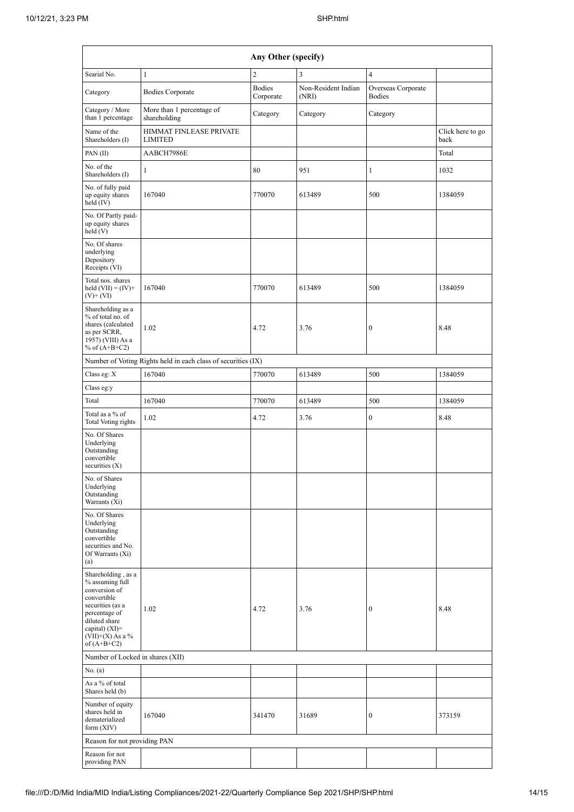| Any Other (specify)                                                                                                                                                                    |                                                               |                            |                              |                                     |                          |  |  |  |  |  |  |
|----------------------------------------------------------------------------------------------------------------------------------------------------------------------------------------|---------------------------------------------------------------|----------------------------|------------------------------|-------------------------------------|--------------------------|--|--|--|--|--|--|
| Searial No.                                                                                                                                                                            | $\mathbf{1}$                                                  | $\overline{c}$             | 3                            | $\overline{4}$                      |                          |  |  |  |  |  |  |
| Category                                                                                                                                                                               | <b>Bodies Corporate</b>                                       | <b>Bodies</b><br>Corporate | Non-Resident Indian<br>(NRI) | Overseas Corporate<br><b>Bodies</b> |                          |  |  |  |  |  |  |
| Category / More<br>than 1 percentage                                                                                                                                                   | More than 1 percentage of<br>shareholding                     | Category                   | Category                     | Category                            |                          |  |  |  |  |  |  |
| Name of the<br>Shareholders (I)                                                                                                                                                        | HIMMAT FINLEASE PRIVATE<br><b>LIMITED</b>                     |                            |                              |                                     | Click here to go<br>back |  |  |  |  |  |  |
| PAN $(II)$                                                                                                                                                                             | AABCH7986E                                                    |                            |                              |                                     | Total                    |  |  |  |  |  |  |
| No. of the<br>Shareholders (I)                                                                                                                                                         | 1                                                             | 80                         | 951                          | $\mathbf{1}$                        | 1032                     |  |  |  |  |  |  |
| No. of fully paid<br>up equity shares<br>held $(IV)$                                                                                                                                   | 167040                                                        | 770070                     | 613489                       | 500                                 | 1384059                  |  |  |  |  |  |  |
| No. Of Partly paid-<br>up equity shares<br>held(V)                                                                                                                                     |                                                               |                            |                              |                                     |                          |  |  |  |  |  |  |
| No. Of shares<br>underlying<br>Depository<br>Receipts (VI)                                                                                                                             |                                                               |                            |                              |                                     |                          |  |  |  |  |  |  |
| Total nos. shares<br>held $(VII) = (IV) +$<br>$(V)$ + $(VI)$                                                                                                                           | 167040                                                        | 770070                     | 613489                       | 500                                 | 1384059                  |  |  |  |  |  |  |
| Shareholding as a<br>% of total no. of<br>shares (calculated<br>as per SCRR,<br>1957) (VIII) As a<br>% of $(A+B+C2)$                                                                   | 1.02                                                          | 4.72                       | 3.76                         | $\boldsymbol{0}$                    | 8.48                     |  |  |  |  |  |  |
|                                                                                                                                                                                        | Number of Voting Rights held in each class of securities (IX) |                            |                              |                                     |                          |  |  |  |  |  |  |
| Class eg: X                                                                                                                                                                            | 167040                                                        | 770070                     | 613489                       | 500                                 | 1384059                  |  |  |  |  |  |  |
| Class eg:y                                                                                                                                                                             |                                                               |                            |                              |                                     |                          |  |  |  |  |  |  |
| Total                                                                                                                                                                                  | 167040                                                        | 770070                     | 613489                       | 500                                 | 1384059                  |  |  |  |  |  |  |
| Total as a % of<br>Total Voting rights                                                                                                                                                 | 1.02                                                          | 4.72                       | 3.76                         | $\boldsymbol{0}$                    | 8.48                     |  |  |  |  |  |  |
| No. Of Shares<br>Underlying<br>Outstanding<br>convertible<br>securities $(X)$                                                                                                          |                                                               |                            |                              |                                     |                          |  |  |  |  |  |  |
| No. of Shares<br>Underlying<br>Outstanding<br>Warrants (Xi)                                                                                                                            |                                                               |                            |                              |                                     |                          |  |  |  |  |  |  |
| No. Of Shares<br>Underlying<br>Outstanding<br>convertible<br>securities and No.<br>Of Warrants (Xi)<br>(a)                                                                             |                                                               |                            |                              |                                     |                          |  |  |  |  |  |  |
| Shareholding, as a<br>% assuming full<br>conversion of<br>convertible<br>securities (as a<br>percentage of<br>diluted share<br>capital) $(XI)=$<br>$(VII)+(X)$ As a %<br>of $(A+B+C2)$ | 1.02                                                          | 4.72                       | 3.76                         | $\boldsymbol{0}$                    | 8.48                     |  |  |  |  |  |  |
| Number of Locked in shares (XII)                                                                                                                                                       |                                                               |                            |                              |                                     |                          |  |  |  |  |  |  |
| No. $(a)$                                                                                                                                                                              |                                                               |                            |                              |                                     |                          |  |  |  |  |  |  |
| As a % of total<br>Shares held (b)                                                                                                                                                     |                                                               |                            |                              |                                     |                          |  |  |  |  |  |  |
| Number of equity<br>shares held in<br>dematerialized<br>form (XIV)                                                                                                                     | 167040                                                        | 341470                     | 31689                        | $\mathbf{0}$                        | 373159                   |  |  |  |  |  |  |
| Reason for not providing PAN                                                                                                                                                           |                                                               |                            |                              |                                     |                          |  |  |  |  |  |  |
| Reason for not<br>providing PAN                                                                                                                                                        |                                                               |                            |                              |                                     |                          |  |  |  |  |  |  |